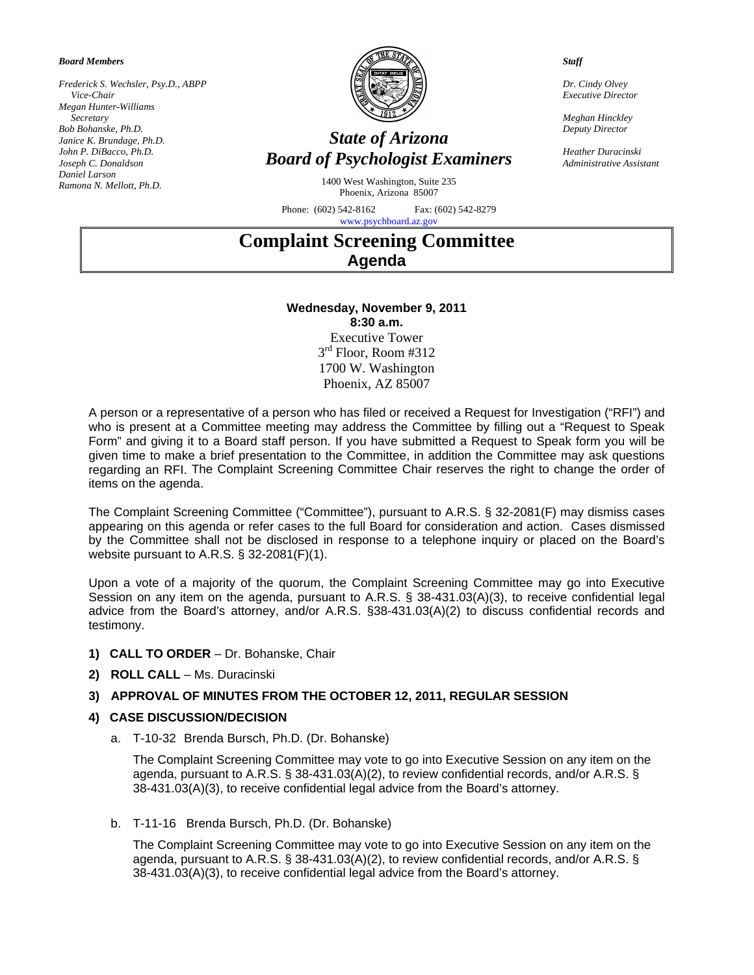*Board Members* 

*Frederick S. Wechsler, Psy.D., ABPP Vice-Chair Megan Hunter-Williams Secretary Bob Bohanske, Ph.D. Janice K. Brundage, Ph.D. John P. DiBacco, Ph.D. Joseph C. Donaldson Daniel Larson Ramona N. Mellott, Ph.D.* 



## *State of Arizona Board of Psychologist Examiners*

1400 West Washington, Suite 235 Phoenix, Arizona 85007

Phone: (602) 542-8162 Fax: (602) 542-8279 [www.psychboard.az.gov](http://www.psychboard.az.gov/) 

*Staff* 

*Dr. Cindy Olvey Executive Director* 

*Meghan Hinckley Deputy Director* 

*Heather Duracinski Administrative Assistant*

# **Complaint Screening Committee Agenda**

### **Wednesday, November 9, 2011 8:30 a.m.**

Executive Tower  $3<sup>rd</sup>$  Floor, Room #312 1700 W. Washington Phoenix, AZ 85007

A person or a representative of a person who has filed or received a Request for Investigation ("RFI") and who is present at a Committee meeting may address the Committee by filling out a "Request to Speak Form" and giving it to a Board staff person. If you have submitted a Request to Speak form you will be given time to make a brief presentation to the Committee, in addition the Committee may ask questions regarding an RFI. The Complaint Screening Committee Chair reserves the right to change the order of items on the agenda.

The Complaint Screening Committee ("Committee"), pursuant to A.R.S. § 32-2081(F) may dismiss cases appearing on this agenda or refer cases to the full Board for consideration and action. Cases dismissed by the Committee shall not be disclosed in response to a telephone inquiry or placed on the Board's website pursuant to A.R.S. § 32-2081(F)(1).

Upon a vote of a majority of the quorum, the Complaint Screening Committee may go into Executive Session on any item on the agenda, pursuant to A.R.S. § 38-431.03(A)(3), to receive confidential legal advice from the Board's attorney, and/or A.R.S. §38-431.03(A)(2) to discuss confidential records and testimony.

- **1) CALL TO ORDER**  Dr. Bohanske, Chair
- **2) ROLL CALL**  Ms. Duracinski

#### **3) APPROVAL OF MINUTES FROM THE OCTOBER 12, 2011, REGULAR SESSION**

#### **4) CASE DISCUSSION/DECISION**

a. T-10-32 Brenda Bursch, Ph.D. (Dr. Bohanske)

The Complaint Screening Committee may vote to go into Executive Session on any item on the agenda, pursuant to A.R.S. § 38-431.03(A)(2), to review confidential records, and/or A.R.S. § 38-431.03(A)(3), to receive confidential legal advice from the Board's attorney.

b. T-11-16 Brenda Bursch, Ph.D. (Dr. Bohanske)

The Complaint Screening Committee may vote to go into Executive Session on any item on the agenda, pursuant to A.R.S. § 38-431.03(A)(2), to review confidential records, and/or A.R.S. § 38-431.03(A)(3), to receive confidential legal advice from the Board's attorney.